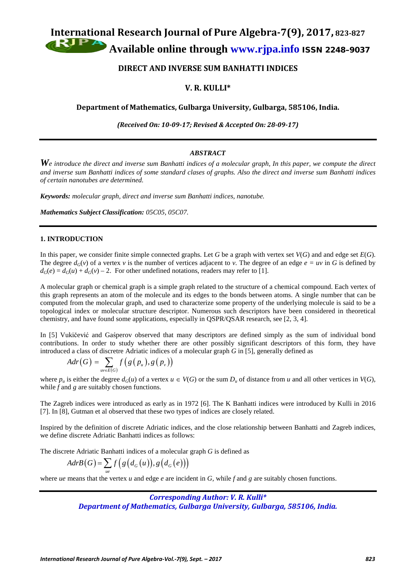**International Research Journal of Pure Algebra-7(9), 2017, 823-827**

**Available online through [www.rjpa.info](http://www.rjpa.info/)** ISSN 2248–9037

**DIRECT AND INVERSE SUM BANHATTI INDICES**

# **V. R. KULLI\***

**Department of Mathematics, Gulbarga University, Gulbarga, 585106, India.**

*(Received On: 10-09-17; Revised & Accepted On: 28-09-17)*

# *ABSTRACT*

*We introduce the direct and inverse sum Banhatti indices of a molecular graph, In this paper, we compute the direct and inverse sum Banhatti indices of some standard clases of graphs. Also the direct and inverse sum Banhatti indices of certain nanotubes are determined.*

*Keywords: molecular graph, direct and inverse sum Banhatti indices, nanotube.*

*Mathematics Subject Classification: 05C05, 05C07.*

## **1. INTRODUCTION**

In this paper, we consider finite simple connected graphs. Let *G* be a graph with vertex set  $V(G)$  and and edge set  $E(G)$ . The degree  $d_G(v)$  of a vertex *v* is the number of vertices adjacent to *v*. The degree of an edge  $e = uv$  in *G* is defined by  $d_G(e) = d_G(u) + d_G(v) - 2$ . For other undefined notations, readers may refer to [1].

A molecular graph or chemical graph is a simple graph related to the structure of a chemical compound. Each vertex of this graph represents an atom of the molecule and its edges to the bonds between atoms. A single number that can be computed from the molecular graph, and used to characterize some property of the underlying molecule is said to be a topological index or molecular structure descriptor. Numerous such descriptors have been considered in theoretical chemistry, and have found some applications, especially in QSPR/QSAR research, see [2, 3, 4].

In [5] Vukičević and Gaśperov observed that many descriptors are defined simply as the sum of individual bond contributions. In order to study whether there are other possibly significant descriptors of this form, they have introduced a class of discretre Adriatic indices of a molecular graph *G* in [5], generally defined as

$$
Adr(G) = \sum_{uv \in E(G)} f(g(p_u), g(p_v))
$$

where  $p_u$  is either the degree  $d_G(u)$  of a vertex  $u \in V(G)$  or the sum  $D_u$  of distance from *u* and all other vertices in  $V(G)$ , while  $\bar{f}$  and  $\bar{g}$  are suitably chosen functions.

The Zagreb indices were introduced as early as in 1972 [6]. The K Banhatti indices were introduced by Kulli in 2016 [7]. In [8]. Gutman et al observed that these two types of indices are closely related.

Inspired by the definition of discrete Adriatic indices, and the close relationship between Banhatti and Zagreb indices, we define discrete Adriatic Banhatti indices as follows:

The discrete Adriatic Banhatti indices of a molecular graph *G* is defined as

$$
AdrB(G) = \sum_{ue} f(g(d_G(u)), g(d_G(e)))
$$

where *ue* means that the vertex *u* and edge *e* are incident in *G*, while *f* and *g* are suitably chosen functions.

## *Corresponding Author: V. R. Kulli\**

*Department of Mathematics, Gulbarga University, Gulbarga, 585106, India.*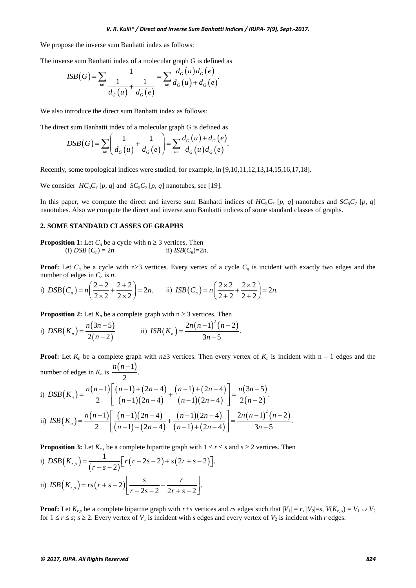#### *V. R. Kulli\* / Direct and Inverse Sum Banhatti Indices / IRJPA- 7(9), Sept.-2017.*

We propose the inverse sum Banhatti index as follows:

The inverse sum Banhatti index of a molecular graph *G* is defined as

$$
ISB(G) = \sum_{ue} \frac{1}{\frac{1}{d_G(u)} + \frac{1}{d_G(e)}} = \sum_{ue} \frac{d_G(u)d_G(e)}{d_G(u) + d_G(e)}.
$$

We also introduce the direct sum Banhatti index as follows:

The direct sum Banhatti index of a molecular graph *G* is defined as

$$
DSB(G) = \sum_{u_e} \left( \frac{1}{d_G(u)} + \frac{1}{d_G(e)} \right) = \sum_{u_e} \frac{d_G(u) + d_G(e)}{d_G(u)d_G(e)}.
$$

Recently, some topological indices were studied, for example, in [9,10,11,12,13,14,15,16,17,18].

We consider  $HC_5C_7$  [p, q] and  $SC_5C_7$  [p, q] nanotubes, see [19].

In this paper, we compute the direct and inverse sum Banhatti indices of  $HC_5C_7$  [*p, q*] nanotubes and  $SC_5C_7$  [*p, q*] nanotubes. Also we compute the direct and inverse sum Banhatti indices of some standard classes of graphs.

#### **2. SOME STANDARD CLASSES OF GRAPHS**

**Proposition 1:** Let 
$$
C_n
$$
 be a cycle with  $n \ge 3$  vertices. Then  
(i) *DSB*  $(C_n) = 2n$  ii) *ISB* $(C_n)=2n$ .

**Proof:** Let  $C_n$  be a cycle with n≥3 vertices. Every vertex of a cycle  $C_n$  is incident with exactly two edges and the number of edges in  $C_n$  is *n*.

i) 
$$
DSB(C_n) = n\left(\frac{2+2}{2\times2} + \frac{2+2}{2\times2}\right) = 2n.
$$
 ii)  $ISB(C_n) = n\left(\frac{2\times2}{2+2} + \frac{2\times2}{2+2}\right) = 2n.$ 

**Proposition 2:** Let  $K_n$  be a complete graph with  $n \geq 3$  vertices. Then

i) 
$$
DSB(K_n) = \frac{n(3n-5)}{2(n-2)}
$$
 ii)  $ISB(K_n) = \frac{2n(n-1)^2(n-2)}{3n-5}$ .

**Proof:** Let  $K_n$  be a complete graph with  $n \ge 3$  vertices. Then every vertex of  $K_n$  is incident with  $n - 1$  edges and the number of edges in  $K_n$  is  $\frac{n(n-1)}{2}$ . *n*(*n* −

i) 
$$
DSB(K_n) = \frac{n(n-1)}{2} \left[ \frac{(n-1) + (2n-4)}{(n-1)(2n-4)} + \frac{(n-1) + (2n-4)}{(n-1)(2n-4)} \right] = \frac{n(3n-5)}{2(n-2)}.
$$
  
ii) 
$$
ISB(K_n) = \frac{n(n-1)}{2} \left[ \frac{(n-1)(2n-4)}{(n-1) + (2n-4)} + \frac{(n-1)(2n-4)}{(n-1) + (2n-4)} \right] = \frac{2n(n-1)^2(n-2)}{3n-5}.
$$

**Proposition 3:** Let  $K_{r,s}$  be a complete bipartite graph with  $1 \leq r \leq s$  and  $s \geq 2$  vertices. Then

i) 
$$
DSB(K_{r,s}) = \frac{1}{(r+s-2)} [r(r+2s-2) + s(2r+s-2)].
$$
  
ii)  $ISB(K_{r,s}) = rs(r+s-2) [\frac{s}{r+2s-2} + \frac{r}{2r+s-2}].$ 

**Proof:** Let  $K_{r,s}$  be a complete bipartite graph with  $r+s$  vertices and  $rs$  edges such that  $|V_1| = r$ ,  $|V_2| = s$ ,  $V(K_{r,s}) = V_1 \cup V_2$ for  $1 \le r \le s$ ;  $s \ge 2$ . Every vertex of  $V_1$  is incident with *s* edges and every vertex of  $V_2$  is incident with *r* edges.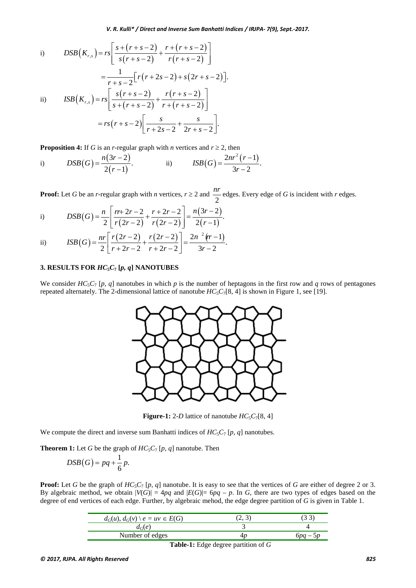i) 
$$
DSB(K_{r,s}) = rs \left[ \frac{s + (r + s - 2)}{s(r + s - 2)} + \frac{r + (r + s - 2)}{r(r + s - 2)} \right]
$$

$$
= \frac{1}{r + s - 2} \left[ r(r + 2s - 2) + s(2r + s - 2) \right].
$$
  
ii) 
$$
ISB(K_{r,s}) = rs \left[ \frac{s(r + s - 2)}{s + (r + s - 2)} + \frac{r(r + s - 2)}{r + (r + s - 2)} \right]
$$

$$
= rs(r + s - 2) \left[ \frac{s}{r + 2s - 2} + \frac{s}{2r + s - 2} \right].
$$

**Proposition 4:** If *G* is an *r*-regular graph with *n* vertices and  $r \ge 2$ , then

i) 
$$
DSB(G) = \frac{n(3r-2)}{2(r-1)}
$$
 ii)  $ISB(G) = \frac{2nr^2(r-1)}{3r-2}$ 

**Proof:** Let *G* be an *r*-regular graph with *n* vertices,  $r \ge 2$  and 2 *nr* edges. Every edge of *<sup>G</sup>*is incident with *<sup>r</sup>* edges.

i) 
$$
DSB(G) = \frac{n}{2} \left[ \frac{rr + 2r - 2}{r(2r - 2)} + \frac{r + 2r - 2}{r(2r - 2)} \right] = \frac{n(3r - 2)}{2(r - 1)}.
$$

ii) 
$$
ISB(G) = \frac{nr}{2} \left[ \frac{r(2r-2)}{r+2r-2} + \frac{r(2r-2)}{r+2r-2} \right] = \frac{2n^{2}(r-1)}{3r-2}.
$$

#### **3. RESULTS FOR** *HC***5***C***<sup>7</sup> [***p, q***] NANOTUBES**

We consider  $HC_5C_7$  [p, q] nanotubes in which p is the number of heptagons in the first row and q rows of pentagones repeated alternately. The 2-dimensional lattice of nanotube  $HC_5C_7[8, 4]$  is shown in Figure 1, see [19].



**Figure-1:** 2-*D* lattice of nanotube  $HC_5C_7[8, 4]$ 

We compute the direct and inverse sum Banhatti indices of  $HC_5C_7$  [*p*, *q*] nanotubes.

**Theorem 1:** Let *G* be the graph of  $HC_5C_7$  [*p, q*] nanotube. Then

$$
DSB(G) = pq + \frac{1}{6}p.
$$

**Proof:** Let *G* be the graph of  $HC_5C_7$  [*p, q*] nanotube. It is easy to see that the vertices of *G* are either of degree 2 or 3. By algebraic method, we obtain  $|V(G)| = 4pq$  and  $|E(G)| = 6pq - p$ . In *G*, there are two types of edges based on the degree of end vertices of each edge. Further, by algebraic mehod, the edge degree partition of *G* is given in Table 1.

| $d_G(u)$ , $d_G(v) \setminus e = uv \in E(G)$ | ر په |         |
|-----------------------------------------------|------|---------|
| $d_G(e)$                                      |      |         |
| Number of edges                               |      | 6pa – 5 |
|                                               |      |         |

**Table-1:** Edge degree partition of *G*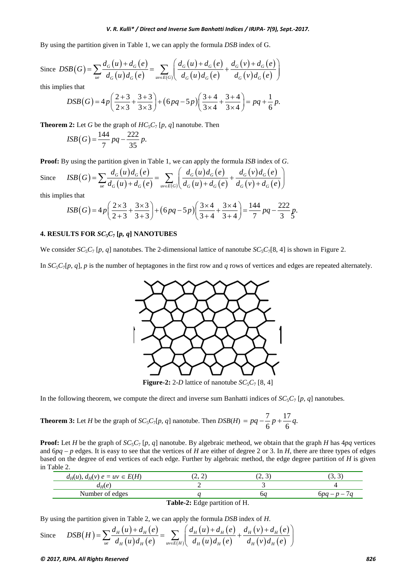#### *V. R. Kulli\* / Direct and Inverse Sum Banhatti Indices / IRJPA- 7(9), Sept.-2017.*

By using the partition given in Table 1, we can apply the formula *DSB* index of G.

Since 
$$
DSB(G) = \sum_{u} \frac{d_G(u) + d_G(e)}{d_G(u)d_G(e)} = \sum_{u \in E(G)} \left( \frac{d_G(u) + d_G(e)}{d_G(u)d_G(e)} + \frac{d_G(v) + d_G(e)}{d_G(v)d_G(e)} \right)
$$

this implies that

$$
DSB(G) = 4p\left(\frac{2+3}{2\times3} + \frac{3+3}{3\times3}\right) + (6pq - 5p)\left(\frac{3+4}{3\times4} + \frac{3+4}{3\times4}\right) = pq + \frac{1}{6}p.
$$

**Theorem 2:** Let *G* be the graph of  $HC_5C_7$  [*p*, *q*] nanotube. Then

$$
ISB(G) = \frac{144}{7}pq - \frac{222}{35}p.
$$

**Proof:** By using the partition given in Table 1, we can apply the formula *ISB* index of *G*.

Since 
$$
ISB(G) = \sum_{u \in \mathcal{A}_G} \frac{d_G(u) d_G(e)}{d_G(u) + d_G(e)} = \sum_{u \in E(G)} \left( \frac{d_G(u) d_G(e)}{d_G(u) + d_G(e)} + \frac{d_G(v) d_G(e)}{d_G(v) + d_G(e)} \right)
$$

this implies that

$$
ISB(G) = 4p\left(\frac{2\times3}{2+3} + \frac{3\times3}{3+3}\right) + (6pq - 5p)\left(\frac{3\times4}{3+4} + \frac{3\times4}{3+4}\right) = \frac{144}{7}pq - \frac{222}{3}p.
$$

#### **4. RESULTS FOR**  $SC_5C_7$  **[p, q] <b>NANOTUBES**

We consider  $SC_5C_7$  [p, q] nanotubes. The 2-dimensional lattice of nanotube  $SC_5C_7[8, 4]$  is shown in Figure 2.

In  $SC_5C_7[p, q]$ , p is the number of heptagones in the first row and q rows of vertices and edges are repeated alternately.



**Figure-2:** 2-*D* lattice of nanotube  $SC_5C_7$  [8, 4]

In the following theorem, we compute the direct and inverse sum Banhatti indices of  $SC_5C_7$  [*p, q*] nanotubes.

**Theorem 3:** Let *H* be the graph of 
$$
SC_5C_7[p, q]
$$
 nanotube. Then  $DSB(H) = pq - \frac{7}{6}p + \frac{17}{6}q$ .

**Proof:** Let *H* be the graph of  $SC_5C_7$  [*p, q*] nanotube. By algebraic metheod, we obtain that the graph *H* has  $4pq$  vertices and  $6pq - p$  edges. It is easy to see that the vertices of *H* are either of degree 2 or 3. In *H*, there are three types of edges based on the degree of end vertices of each edge. Further by algebraic method, the edge degree partition of *H* is given in Table 2.

| $d_H(u)$ , $d_H(v)$ $e = uv \in E(H)$ | . <i>.</i> | ر مت | ۰U۰,<br>ັ                |  |
|---------------------------------------|------------|------|--------------------------|--|
| $d_H(e)$                              |            |      |                          |  |
| Number of edges                       |            |      | $\overline{\phantom{a}}$ |  |
| $\blacksquare$                        |            |      |                          |  |

**Table-2:** Edge partition of H.

By using the partition given in Table 2, we can apply the formula *DSB* index of *H*.

Since 
$$
DSB(H) = \sum_{u} \frac{d_H(u) + d_H(e)}{d_H(u) d_H(e)} = \sum_{u \in E(H)} \left( \frac{d_H(u) + d_H(e)}{d_H(u) d_H(e)} + \frac{d_H(v) + d_H(e)}{d_H(v) d_H(e)} \right)
$$